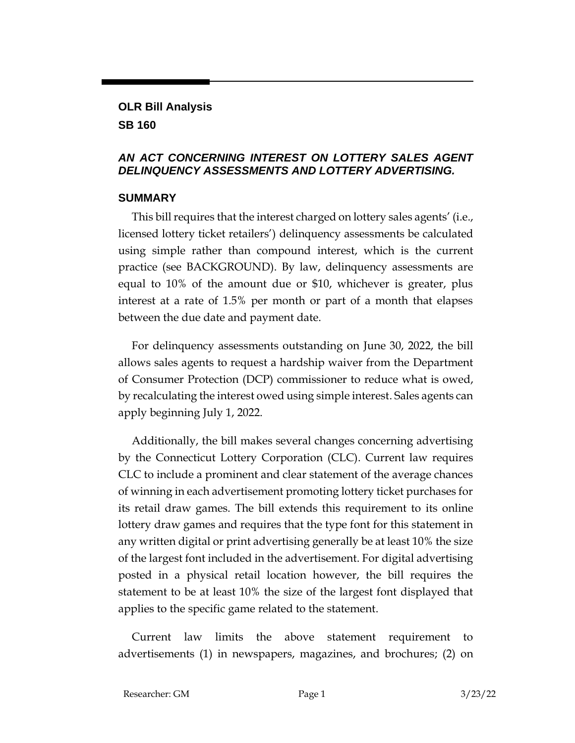# **OLR Bill Analysis**

**SB 160**

#### *AN ACT CONCERNING INTEREST ON LOTTERY SALES AGENT DELINQUENCY ASSESSMENTS AND LOTTERY ADVERTISING.*

#### **SUMMARY**

This bill requires that the interest charged on lottery sales agents' (i.e., licensed lottery ticket retailers') delinquency assessments be calculated using simple rather than compound interest, which is the current practice (see BACKGROUND). By law, delinquency assessments are equal to 10% of the amount due or \$10, whichever is greater, plus interest at a rate of 1.5% per month or part of a month that elapses between the due date and payment date.

For delinquency assessments outstanding on June 30, 2022, the bill allows sales agents to request a hardship waiver from the Department of Consumer Protection (DCP) commissioner to reduce what is owed, by recalculating the interest owed using simple interest. Sales agents can apply beginning July 1, 2022.

Additionally, the bill makes several changes concerning advertising by the Connecticut Lottery Corporation (CLC). Current law requires CLC to include a prominent and clear statement of the average chances of winning in each advertisement promoting lottery ticket purchases for its retail draw games. The bill extends this requirement to its online lottery draw games and requires that the type font for this statement in any written digital or print advertising generally be at least 10% the size of the largest font included in the advertisement. For digital advertising posted in a physical retail location however, the bill requires the statement to be at least 10% the size of the largest font displayed that applies to the specific game related to the statement.

Current law limits the above statement requirement to advertisements (1) in newspapers, magazines, and brochures; (2) on